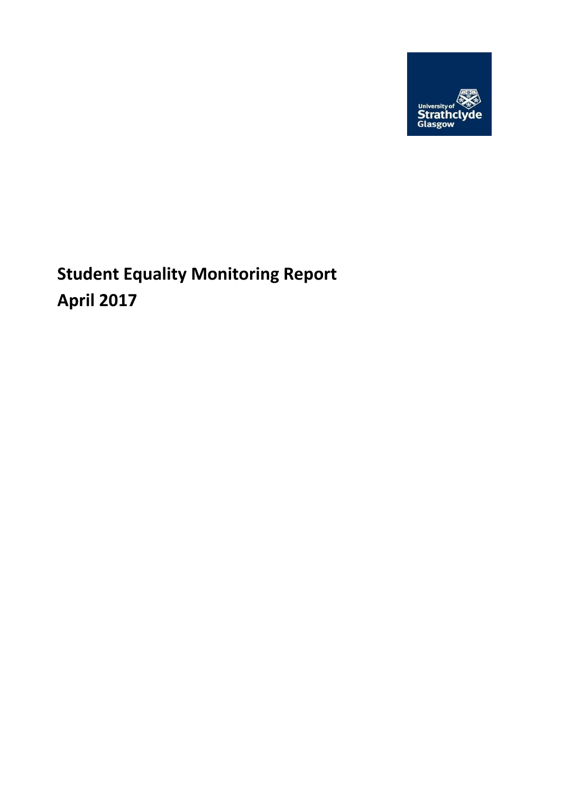

**Student Equality Monitoring Report April 2017**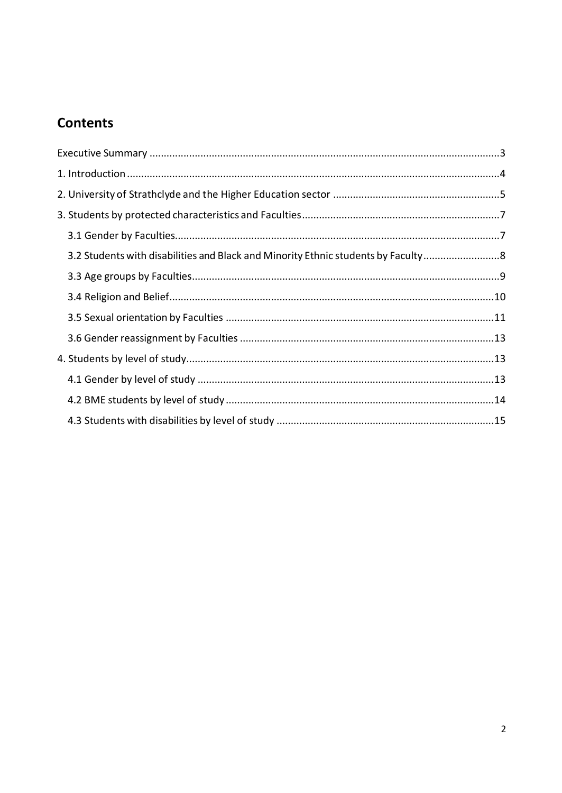# **Contents**

<span id="page-1-0"></span>

| 3.2 Students with disabilities and Black and Minority Ethnic students by Faculty |  |
|----------------------------------------------------------------------------------|--|
|                                                                                  |  |
|                                                                                  |  |
|                                                                                  |  |
|                                                                                  |  |
|                                                                                  |  |
|                                                                                  |  |
|                                                                                  |  |
|                                                                                  |  |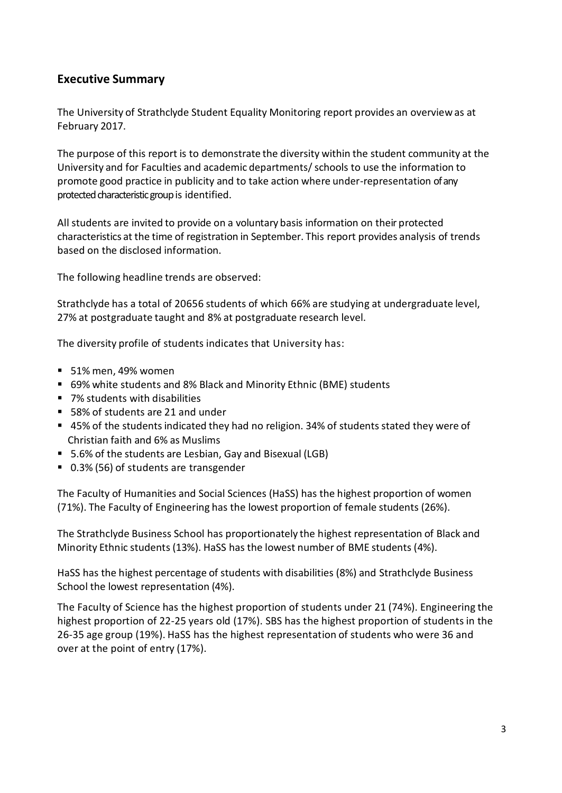### **Executive Summary**

The University of Strathclyde Student Equality Monitoring report provides an overview as at February 2017.

The purpose of this report is to demonstrate the diversity within the student community at the University and for Faculties and academic departments/schools to use the information to promote good practice in publicity and to take action where under-representation ofany protected characteristic group is identified.

All students are invited to provide on a voluntary basis information on their protected characteristics at the time of registration in September. This report provides analysis of trends based on the disclosed information.

The following headline trends are observed:

Strathclyde has a total of 20656 students of which 66% are studying at undergraduate level, 27% at postgraduate taught and 8% at postgraduate research level.

The diversity profile of students indicates that University has:

- 51% men, 49% women
- 69% white students and 8% Black and Minority Ethnic (BME) students
- 7% students with disabilities
- 58% of students are 21 and under
- 45% of the students indicated they had no religion. 34% of students stated they were of Christian faith and 6% as Muslims
- 5.6% of the students are Lesbian, Gay and Bisexual (LGB)
- 0.3% (56) of students are transgender

The Faculty of Humanities and Social Sciences (HaSS) has the highest proportion of women (71%). The Faculty of Engineering has the lowest proportion of female students (26%).

The Strathclyde Business School has proportionately the highest representation of Black and Minority Ethnic students(13%). HaSS has the lowest number of BME students (4%).

HaSS has the highest percentage of students with disabilities (8%) and Strathclyde Business School the lowest representation (4%).

The Faculty of Science has the highest proportion of students under 21 (74%). Engineering the highest proportion of 22-25 years old (17%). SBS has the highest proportion of students in the 26-35 age group (19%). HaSS has the highest representation of students who were 36 and over at the point of entry (17%).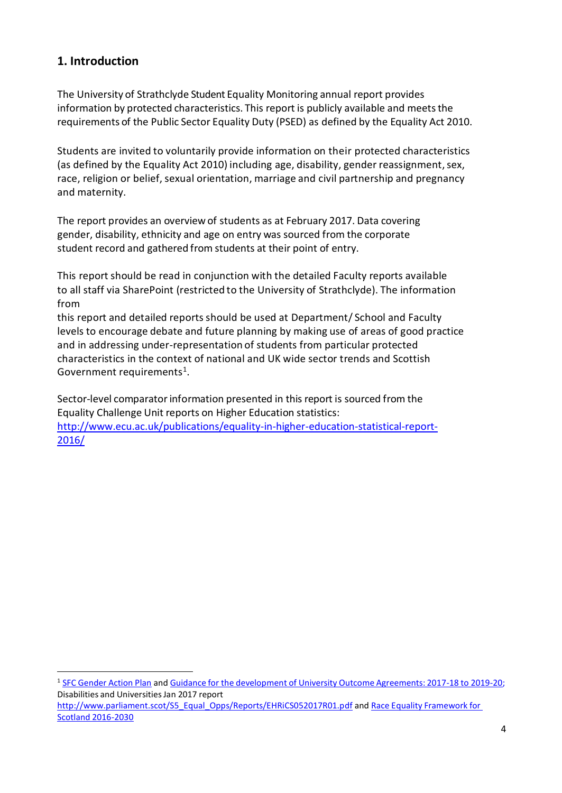# <span id="page-3-0"></span>**1. Introduction**

 $\overline{a}$ 

The University of Strathclyde Student Equality Monitoring annual report provides information by protected characteristics. This report is publicly available and meets the requirements of the Public Sector Equality Duty (PSED) as defined by the Equality Act 2010.

Students are invited to voluntarily provide information on their protected characteristics (as defined by the Equality Act 2010) including age, disability, gender reassignment, sex, race, religion or belief, sexual orientation, marriage and civil partnership and pregnancy and maternity.

The report provides an overview of students as at February 2017. Data covering gender, disability, ethnicity and age on entry was sourced from the corporate student record and gathered from students at their point of entry.

This report should be read in conjunction with the detailed Faculty reports available to all staff via SharePoint (restricted to the University of Strathclyde). The information from

this report and detailed reportsshould be used at Department/ School and Faculty levels to encourage debate and future planning by making use of areas of good practice and in addressing under-representation of students from particular protected characteristics in the context of national and UK wide sector trends and Scottish Government requirements<sup>1</sup>.

Sector-level comparatorinformation presented in this report is sourced from the Equality Challenge Unit reports on Higher Education statistics: [http://www.ecu.ac.uk/publications/equality-in-higher-education-statistical-report-](http://www.ecu.ac.uk/publications/equality-in-higher-education-statistical-report-2016/)[2016/](http://www.ecu.ac.uk/publications/equality-in-higher-education-statistical-report-2016/)

<sup>1</sup> SFC [Gender](http://www.sfc.ac.uk/web/FILES/Corporate_publications_SFCCP052016_GenderActionPlan/SFCCP052016_Gender_Action_Plan.pdf) Action Plan and Guidance for the [development](http://www.sfc.ac.uk/web/FILES/GUI_SFCGD222016_UniversityOAGuidance1718/SFC_GD_22_2016_University_OA_guidance_2017-18.pdf) of University Outcome Agreements: 2017-18 to 2019-20; Disabilities and Universities Jan 2017 report

[http://www.parliament.scot/S5\\_Equal\\_Opps/Reports/EHRiCS052017R01.pdf](http://www.parliament.scot/S5_Equal_Opps/Reports/EHRiCS052017R01.pdf) and Race Equality [Framework](http://www.gov.scot/Publications/2016/03/4084) for Scotland [2016-2030](http://www.gov.scot/Publications/2016/03/4084)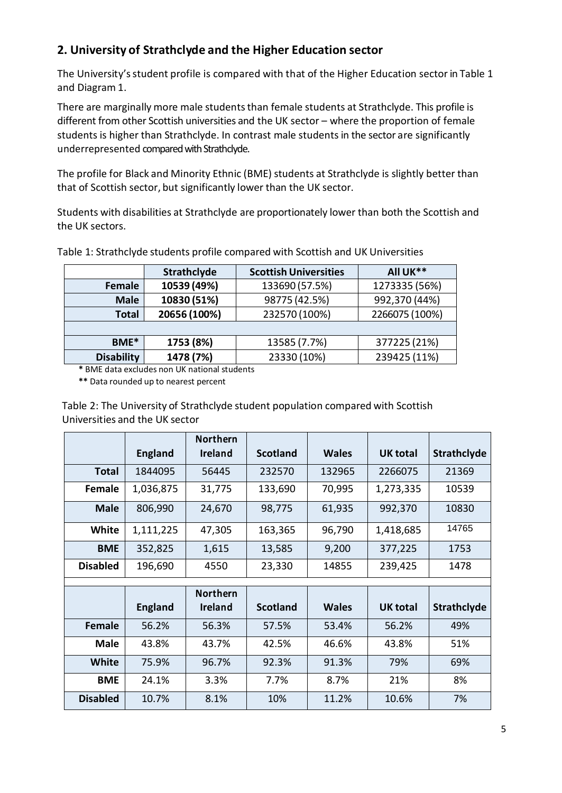# <span id="page-4-0"></span>**2. University of Strathclyde and the Higher Education sector**

The University's student profile is compared with that of the Higher Education sector in Table 1 and Diagram 1.

There are marginally more male students than female students at Strathclyde. This profile is different from other Scottish universities and the UK sector – where the proportion of female students is higher than Strathclyde. In contrast male studentsin the sector are significantly underrepresented compared with Strathclyde.

The profile for Black and Minority Ethnic (BME) students at Strathclyde is slightly better than that of Scottish sector, but significantly lower than the UK sector.

Students with disabilities at Strathclyde are proportionately lower than both the Scottish and the UK sectors.

|                   | Strathclyde  | <b>Scottish Universities</b> | All UK**       |  |
|-------------------|--------------|------------------------------|----------------|--|
| Female            | 10539 (49%)  | 133690 (57.5%)               | 1273335 (56%)  |  |
| <b>Male</b>       | 10830 (51%)  | 98775 (42.5%)                | 992,370 (44%)  |  |
| <b>Total</b>      | 20656 (100%) | 232570 (100%)                | 2266075 (100%) |  |
|                   |              |                              |                |  |
| BME*              | 1753 (8%)    | 13585 (7.7%)                 | 377225 (21%)   |  |
| <b>Disability</b> | 1478 (7%)    | 23330 (10%)                  | 239425 (11%)   |  |

Table 1: Strathclyde students profile compared with Scottish and UK Universities

**\*** BME data excludes non UK national students

**\*\*** Data rounded up to nearest percent

| Table 2: The University of Strathclyde student population compared with Scottish |
|----------------------------------------------------------------------------------|
| Universities and the UK sector                                                   |

|                 |                | <b>Northern</b> |                 |              |                 |                    |
|-----------------|----------------|-----------------|-----------------|--------------|-----------------|--------------------|
|                 | <b>England</b> | <b>Ireland</b>  | <b>Scotland</b> | <b>Wales</b> | <b>UK</b> total | <b>Strathclyde</b> |
| <b>Total</b>    | 1844095        | 56445           | 232570          | 132965       | 2266075         | 21369              |
| Female          | 1,036,875      | 31,775          | 133,690         | 70,995       | 1,273,335       | 10539              |
| <b>Male</b>     | 806,990        | 24,670          | 98,775          | 61,935       | 992,370         | 10830              |
| <b>White</b>    | 1,111,225      | 47,305          | 163,365         | 96,790       | 1,418,685       | 14765              |
| <b>BME</b>      | 352,825        | 1,615           | 13,585          | 9,200        | 377,225         | 1753               |
| <b>Disabled</b> | 196,690        | 4550            | 23,330          | 14855        | 239,425         | 1478               |
|                 |                |                 |                 |              |                 |                    |
|                 |                | <b>Northern</b> |                 |              |                 |                    |
|                 | <b>England</b> | <b>Ireland</b>  | <b>Scotland</b> | <b>Wales</b> | <b>UK total</b> | <b>Strathclyde</b> |
| <b>Female</b>   | 56.2%          | 56.3%           | 57.5%           | 53.4%        | 56.2%           | 49%                |
| <b>Male</b>     | 43.8%          | 43.7%           | 42.5%           | 46.6%        | 43.8%           | 51%                |
| <b>White</b>    | 75.9%          | 96.7%           | 92.3%           | 91.3%        | 79%             | 69%                |
| <b>BME</b>      | 24.1%          | 3.3%            | 7.7%            | 8.7%         | 21%             | 8%                 |
| <b>Disabled</b> | 10.7%          | 8.1%            | 10%             | 11.2%        | 10.6%           | 7%                 |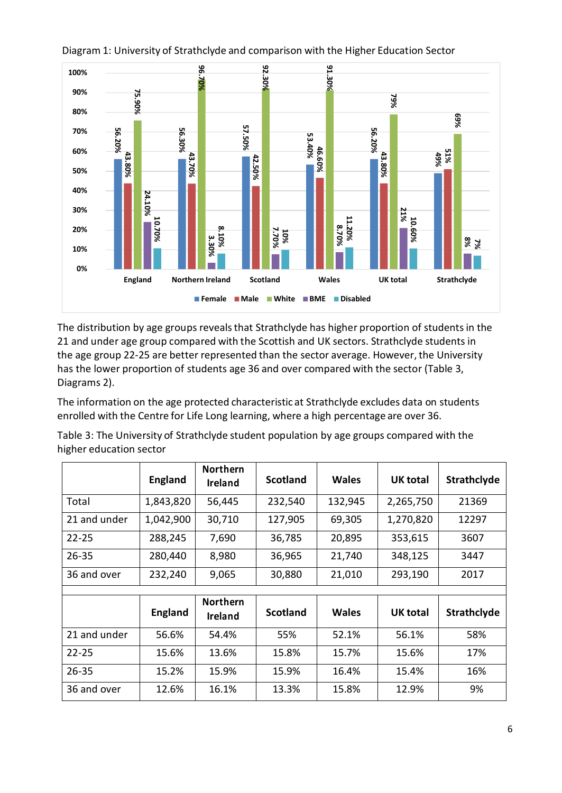

### Diagram 1: University of Strathclyde and comparison with the Higher Education Sector

The distribution by age groups reveals that Strathclyde has higher proportion of students in the 21 and under age group compared with the Scottish and UK sectors. Strathclyde students in the age group 22-25 are better represented than the sector average. However, the University has the lower proportion of students age 36 and over compared with the sector (Table 3, Diagrams 2).

The information on the age protected characteristic at Strathclyde excludes data on students enrolled with the Centre for Life Long learning, where a high percentage are over 36.

Table 3: The University of Strathclyde student population by age groups compared with the higher education sector

|              | <b>England</b> | <b>Northern</b><br><b>Ireland</b> | <b>Scotland</b> | <b>Wales</b> | <b>UK total</b> | Strathclyde |
|--------------|----------------|-----------------------------------|-----------------|--------------|-----------------|-------------|
| Total        | 1,843,820      | 56,445                            | 232,540         | 132,945      | 2,265,750       | 21369       |
| 21 and under | 1,042,900      | 30,710                            | 127,905         | 69,305       | 1,270,820       | 12297       |
| $22 - 25$    | 288,245        | 7,690                             | 36,785          | 20,895       | 353,615         | 3607        |
| $26 - 35$    | 280,440        | 8,980                             | 36,965          | 21,740       | 348,125         | 3447        |
| 36 and over  | 232,240        | 9,065                             | 30,880          | 21,010       | 293,190         | 2017        |
|              |                |                                   |                 |              |                 |             |
|              | <b>England</b> | <b>Northern</b><br><b>Ireland</b> | <b>Scotland</b> | <b>Wales</b> | UK total        | Strathclyde |
| 21 and under | 56.6%          | 54.4%                             | 55%             | 52.1%        | 56.1%           | 58%         |
| $22 - 25$    | 15.6%          | 13.6%                             | 15.8%           | 15.7%        | 15.6%           | 17%         |
| $26 - 35$    | 15.2%          | 15.9%                             | 15.9%           | 16.4%        | 15.4%           | 16%         |
| 36 and over  | 12.6%          | 16.1%                             | 13.3%           | 15.8%        | 12.9%           | 9%          |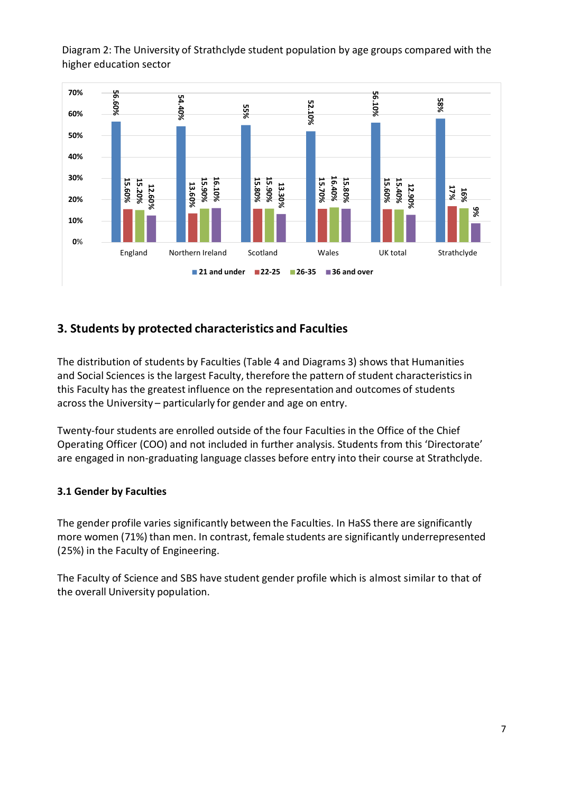Diagram 2: The University of Strathclyde student population by age groups compared with the higher education sector



# <span id="page-6-0"></span>**3. Students by protected characteristics and Faculties**

The distribution of students by Faculties (Table 4 and Diagrams 3) shows that Humanities and Social Sciences is the largest Faculty, therefore the pattern of student characteristicsin this Faculty has the greatest influence on the representation and outcomes of students across the University – particularly for gender and age on entry.

Twenty-four students are enrolled outside of the four Faculties in the Office of the Chief Operating Officer (COO) and not included in further analysis. Students from this 'Directorate' are engaged in non-graduating language classes before entry into their course at Strathclyde.

# <span id="page-6-1"></span>**3.1 Gender by Faculties**

The gender profile varies significantly between the Faculties. In HaSS there are significantly more women (71%) than men. In contrast, female students are significantly underrepresented (25%) in the Faculty of Engineering.

The Faculty of Science and SBS have student gender profile which is almost similar to that of the overall University population.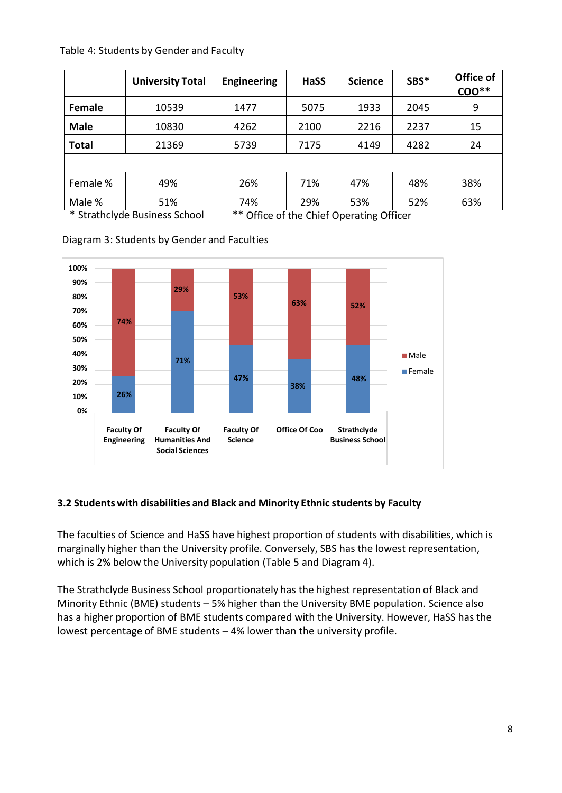|              | <b>University Total</b>              | <b>Engineering</b>                                | <b>HaSS</b> | <b>Science</b> | SBS* | Office of<br>$COO**$ |
|--------------|--------------------------------------|---------------------------------------------------|-------------|----------------|------|----------------------|
| Female       | 10539                                | 1477                                              | 5075        | 1933           | 2045 | 9                    |
| <b>Male</b>  | 10830                                | 4262                                              | 2100        | 2216           | 2237 | 15                   |
| <b>Total</b> | 21369                                | 5739                                              | 7175        | 4149           | 4282 | 24                   |
|              |                                      |                                                   |             |                |      |                      |
| Female %     | 49%                                  | 26%                                               | 71%         | 47%            | 48%  | 38%                  |
| Male %       | 51%<br>* Strathclude Business School | 74%<br>$**$ Office of the Chief Operating Officer | 29%         | 53%            | 52%  | 63%                  |

Diagram 3: Students by Gender and Faculties

\* Strathclyde Business School \*\* Office of the Chief Operating Officer





# <span id="page-7-0"></span>**3.2 Studentswith disabilities and Black and Minority Ethnic students by Faculty**

The faculties of Science and HaSS have highest proportion of students with disabilities, which is marginally higher than the University profile. Conversely, SBS has the lowest representation, which is 2% below the University population (Table 5 and Diagram 4).

The Strathclyde Business School proportionately has the highest representation of Black and Minority Ethnic (BME) students – 5% higher than the University BME population. Science also has a higher proportion of BME students compared with the University. However, HaSS has the lowest percentage of BME students – 4% lower than the university profile.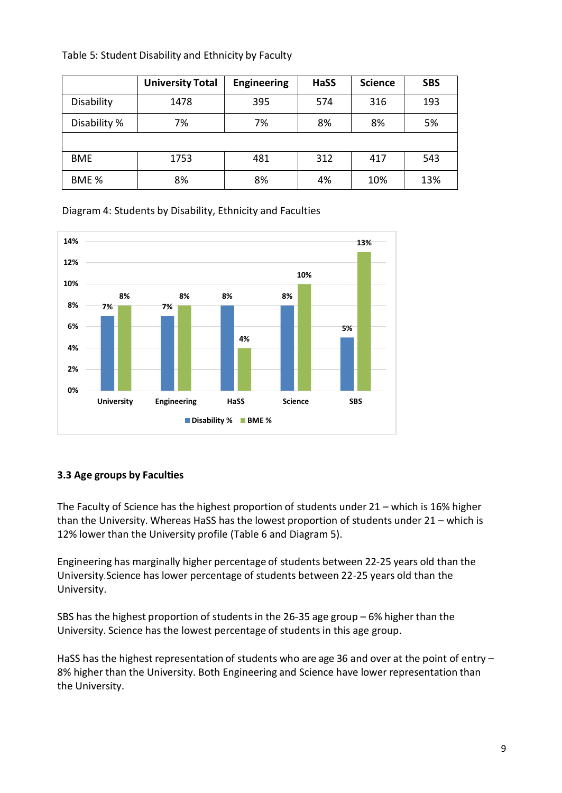|              | <b>University Total</b> | Engineering | HaSS | <b>Science</b> | <b>SBS</b> |
|--------------|-------------------------|-------------|------|----------------|------------|
| Disability   | 1478                    | 395         | 574  | 316            | 193        |
| Disability % | 7%                      | 7%          | 8%   | 8%             | 5%         |
|              |                         |             |      |                |            |
| <b>BME</b>   | 1753                    | 481         | 312  | 417            | 543        |
| BME %        | 8%                      | 8%          | 4%   | 10%            | 13%        |

Table 5: Student Disability and Ethnicity by Faculty

Diagram 4: Students by Disability, Ethnicity and Faculties



### <span id="page-8-0"></span>**3.3 Age groups by Faculties**

The Faculty of Science has the highest proportion of students under 21 – which is 16% higher than the University. Whereas HaSS has the lowest proportion of students under 21 – which is 12% lower than the University profile (Table 6 and Diagram 5).

Engineering has marginally higher percentage of students between 22-25 years old than the University.Science has lower percentage of students between 22-25 years old than the University.

SBS has the highest proportion of students in the 26-35 age group – 6% higher than the University. Science has the lowest percentage of students in this age group.

HaSS has the highest representation of students who are age 36 and over at the point of entry -8% higher than the University. Both Engineering and Science have lower representation than the University.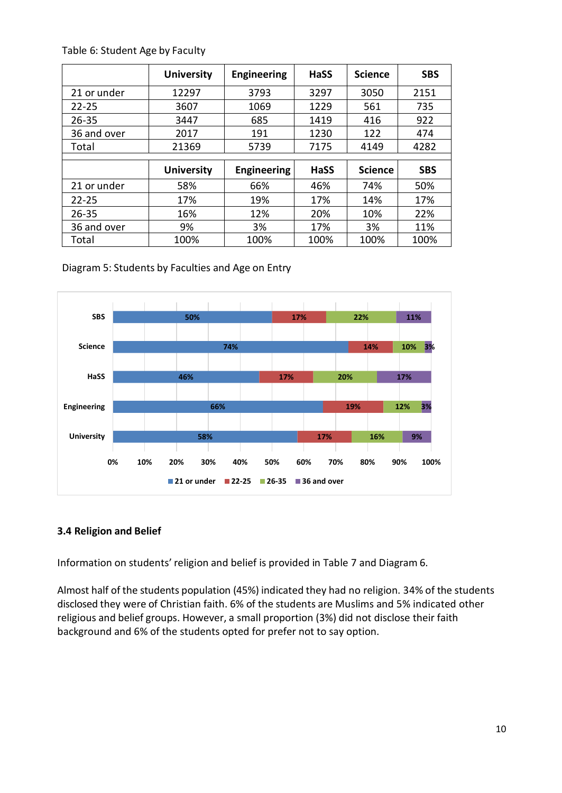|             | <b>University</b> | <b>Engineering</b> | HaSS        | <b>Science</b> | <b>SBS</b> |
|-------------|-------------------|--------------------|-------------|----------------|------------|
| 21 or under | 12297             | 3793               | 3297        | 3050           | 2151       |
| $22 - 25$   | 3607              | 1069               | 1229        | 561            | 735        |
| $26 - 35$   | 3447              | 685                | 1419        | 416            | 922        |
| 36 and over | 2017              | 191                | 1230        | 122            | 474        |
| Total       | 21369             | 5739               | 7175        | 4149           | 4282       |
|             |                   |                    |             |                |            |
|             | <b>University</b> | <b>Engineering</b> | <b>HaSS</b> | <b>Science</b> | <b>SBS</b> |
| 21 or under | 58%               | 66%                | 46%         | 74%            | 50%        |
| $22 - 25$   | 17%               | 19%                | 17%         | 14%            | 17%        |
| $26 - 35$   | 16%               | 12%                | 20%         | 10%            | 22%        |
| 36 and over | 9%                | 3%                 | 17%         | 3%             | 11%        |
| Total       | 100%              | 100%               | 100%        | 100%           | 100%       |

Table 6: Student Age by Faculty

Diagram 5: Students by Faculties and Age on Entry



#### <span id="page-9-0"></span>**3.4 Religion and Belief**

Information on students' religion and belief is provided in Table 7 and Diagram 6.

Almost half of the students population (45%) indicated they had no religion. 34% of the students disclosed they were of Christian faith. 6% of the students are Muslims and 5% indicated other religious and belief groups. However, a small proportion (3%) did not disclose their faith background and 6% of the students opted for prefer not to say option.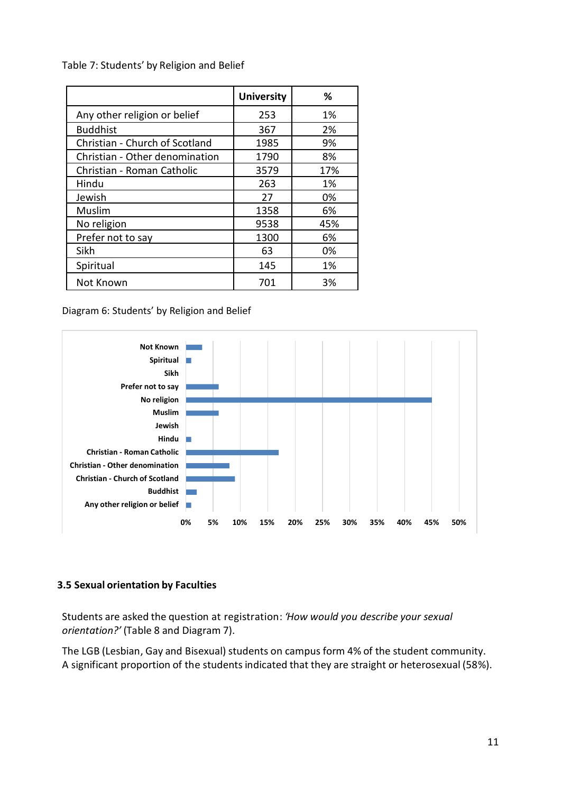Table 7: Students' by Religion and Belief

|                                | <b>University</b> | %   |
|--------------------------------|-------------------|-----|
| Any other religion or belief   | 253               | 1%  |
| <b>Buddhist</b>                | 367               | 2%  |
| Christian - Church of Scotland | 1985              | 9%  |
| Christian - Other denomination | 1790              | 8%  |
| Christian - Roman Catholic     | 3579              | 17% |
| Hindu                          | 263               | 1%  |
| Jewish                         | 27                | 0%  |
| Muslim                         | 1358              | 6%  |
| No religion                    | 9538              | 45% |
| Prefer not to say              | 1300              | 6%  |
| Sikh                           | 63                | 0%  |
| Spiritual                      | 145               | 1%  |
| Not Known                      | 701               | 3%  |

Diagram 6: Students' by Religion and Belief



#### <span id="page-10-0"></span>**3.5 Sexual orientation by Faculties**

Students are asked the question at registration: *'How would you describe your sexual orientation?'* (Table 8 and Diagram 7).

The LGB (Lesbian, Gay and Bisexual) students on campus form 4% of the student community. A significant proportion of the students indicated that they are straight or heterosexual (58%).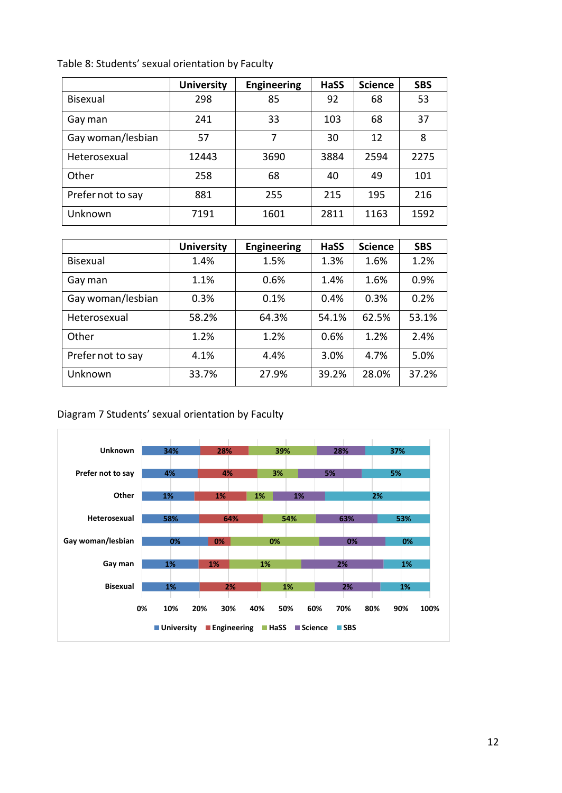|                   | <b>University</b> | <b>Engineering</b> | <b>HaSS</b> | <b>Science</b> | <b>SBS</b> |
|-------------------|-------------------|--------------------|-------------|----------------|------------|
| Bisexual          | 298               | 85                 | 92          | 68             | 53         |
| Gay man           | 241               | 33                 | 103         | 68             | 37         |
| Gay woman/lesbian | 57                | 7                  | 30          | 12             | 8          |
| Heterosexual      | 12443             | 3690               | 3884        | 2594           | 2275       |
| Other             | 258               | 68                 | 40          | 49             | 101        |
| Prefer not to say | 881               | 255                | 215         | 195            | 216        |
| Unknown           | 7191              | 1601               | 2811        | 1163           | 1592       |

Table 8: Students' sexual orientation by Faculty

|                   | <b>University</b> | <b>Engineering</b> | <b>HaSS</b> | <b>Science</b> | <b>SBS</b> |
|-------------------|-------------------|--------------------|-------------|----------------|------------|
| Bisexual          | 1.4%              | 1.5%               | 1.3%        | 1.6%           | 1.2%       |
| Gay man           | 1.1%              | 0.6%               | 1.4%        | 1.6%           | 0.9%       |
| Gay woman/lesbian | 0.3%              | 0.1%               | 0.4%        | 0.3%           | 0.2%       |
| Heterosexual      | 58.2%             | 64.3%              | 54.1%       | 62.5%          | 53.1%      |
| Other             | 1.2%              | 1.2%               | 0.6%        | 1.2%           | 2.4%       |
| Prefer not to say | 4.1%              | 4.4%               | 3.0%        | 4.7%           | 5.0%       |
| Unknown           | 33.7%             | 27.9%              | 39.2%       | 28.0%          | 37.2%      |

### Diagram 7 Students' sexual orientation by Faculty

<span id="page-11-0"></span>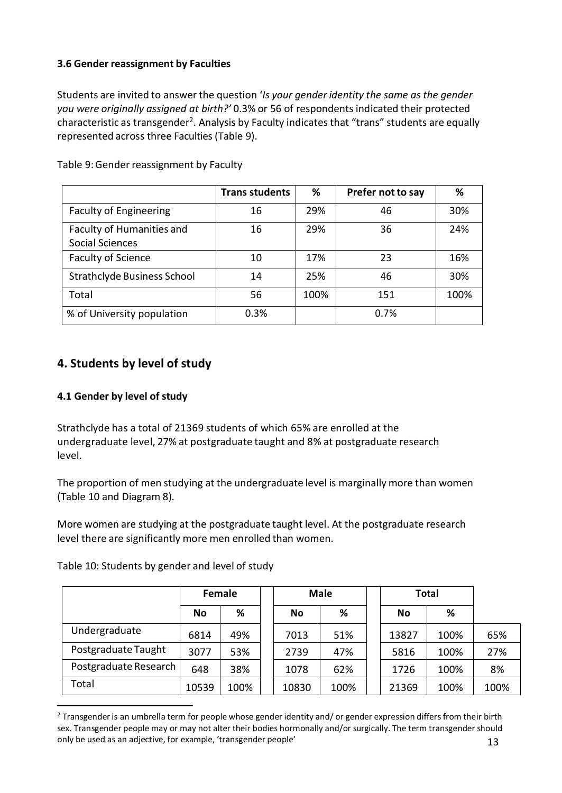### **3.6 Gender reassignment by Faculties**

Students are invited to answer the question '*Is your gender identity the same as the gender you were originally assigned at birth?'* 0.3% or 56 of respondents indicated their protected characteristic as transgender<sup>2</sup>. Analysis by Faculty indicates that "trans" students are equally represented across three Faculties (Table 9).

|                                                     | <b>Trans students</b> | %    | Prefer not to say | %    |
|-----------------------------------------------------|-----------------------|------|-------------------|------|
| <b>Faculty of Engineering</b>                       | 16                    | 29%  | 46                | 30%  |
| Faculty of Humanities and<br><b>Social Sciences</b> | 16                    | 29%  | 36                | 24%  |
| <b>Faculty of Science</b>                           | 10                    | 17%  | 23                | 16%  |
| <b>Strathclyde Business School</b>                  | 14                    | 25%  | 46                | 30%  |
| Total                                               | 56                    | 100% | 151               | 100% |
| % of University population                          | 0.3%                  |      | 0.7%              |      |

Table 9:Gender reassignment by Faculty

# <span id="page-12-0"></span>**4. Students by level of study**

#### <span id="page-12-1"></span>**4.1 Gender by level of study**

 $\overline{a}$ 

Strathclyde has a total of 21369 students of which 65% are enrolled at the undergraduate level, 27% at postgraduate taught and 8% at postgraduate research level.

The proportion of men studying at the undergraduate level is marginally more than women (Table 10 and Diagram 8).

More women are studying at the postgraduate taught level. At the postgraduate research level there are significantly more men enrolled than women.

Table 10: Students by gender and level of study

|                       | Female    |      |  |       | <b>Male</b> | Total |      |      |
|-----------------------|-----------|------|--|-------|-------------|-------|------|------|
|                       | <b>No</b> | ℅    |  | No    | %           | Νo    | %    |      |
| Undergraduate         | 6814      | 49%  |  | 7013  | 51%         | 13827 | 100% | 65%  |
| Postgraduate Taught   | 3077      | 53%  |  | 2739  | 47%         | 5816  | 100% | 27%  |
| Postgraduate Research | 648       | 38%  |  | 1078  | 62%         | 1726  | 100% | 8%   |
| Total                 | 10539     | 100% |  | 10830 | 100%        | 21369 | 100% | 100% |

<sup>13</sup>  $2$  Transgender is an umbrella term for people whose gender identity and/ or gender expression differs from their birth sex. Transgender people may or may not alter their bodies hormonally and/or surgically. The term transgender should only be used as an adjective, for example, 'transgender people'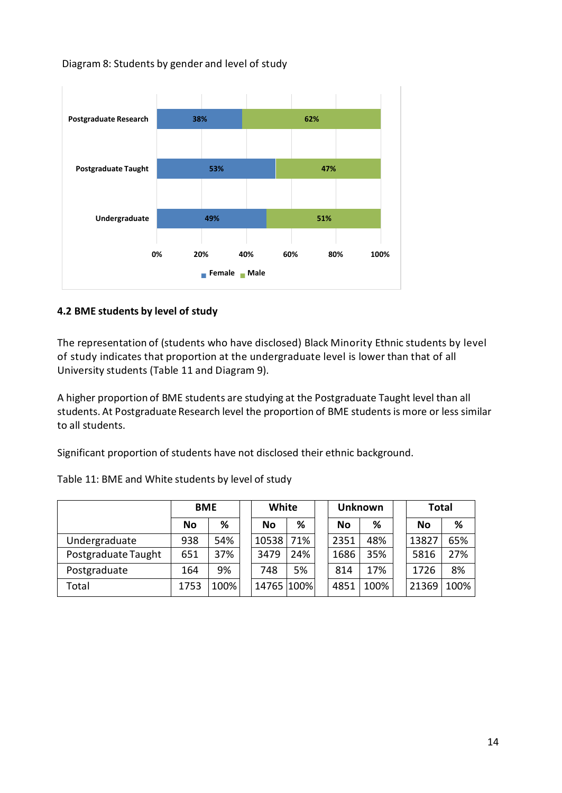Diagram 8: Students by gender and level of study



### <span id="page-13-0"></span>**4.2 BME students by level of study**

The representation of (students who have disclosed) Black Minority Ethnic students by level of study indicates that proportion at the undergraduate level is lower than that of all University students (Table 11 and Diagram 9).

A higher proportion of BME students are studying at the Postgraduate Taught level than all students. At Postgraduate Research level the proportion of BME studentsis more or less similar to all students.

Significant proportion of students have not disclosed their ethnic background.

|                     | <b>BME</b> |      |  | White      |     |  | <b>Unknown</b> |      | <b>Total</b> |      |
|---------------------|------------|------|--|------------|-----|--|----------------|------|--------------|------|
|                     | No         | %    |  | <b>No</b>  | %   |  | <b>No</b>      | %    | No           | %    |
| Undergraduate       | 938        | 54%  |  | 10538      | 71% |  | 2351           | 48%  | 13827        | 65%  |
| Postgraduate Taught | 651        | 37%  |  | 3479       | 24% |  | 1686           | 35%  | 5816         | 27%  |
| Postgraduate        | 164        | 9%   |  | 748        | 5%  |  | 814            | 17%  | 1726         | 8%   |
| Total               | 1753       | 100% |  | 14765 100% |     |  | 4851           | 100% | 21369        | 100% |

Table 11: BME and White students by level of study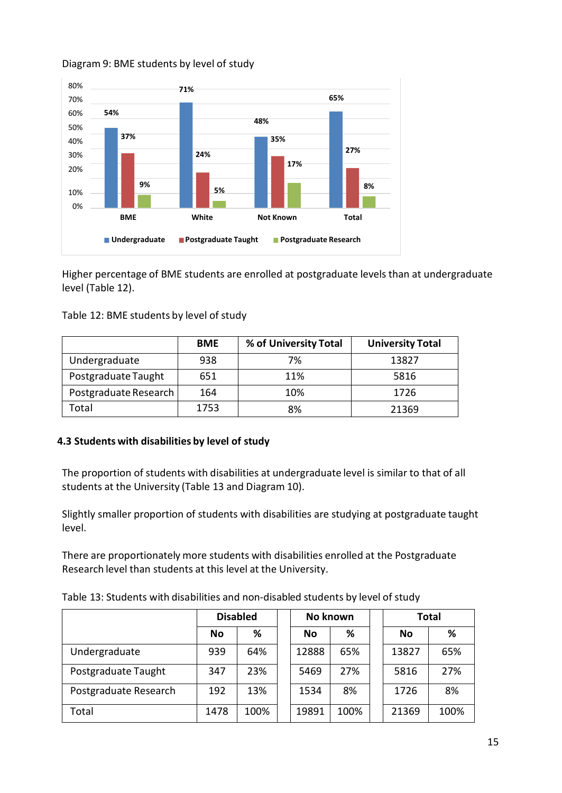### Diagram 9: BME students by level of study



Higher percentage of BME students are enrolled at postgraduate levels than at undergraduate level (Table 12).

| Table 12: BME students by level of study |  |  |
|------------------------------------------|--|--|
|------------------------------------------|--|--|

|                       | <b>BME</b> | % of University Total | <b>University Total</b> |
|-----------------------|------------|-----------------------|-------------------------|
| Undergraduate         | 938        | 7%                    | 13827                   |
| Postgraduate Taught   | 651        | 11%                   | 5816                    |
| Postgraduate Research | 164        | 10%                   | 1726                    |
| Total                 | 1753       | 8%                    | 21369                   |

#### <span id="page-14-0"></span>**4.3 Students with disabilities by level of study**

The proportion of students with disabilities at undergraduate level is similar to that of all students at the University (Table 13 and Diagram 10).

Slightly smaller proportion of students with disabilities are studying at postgraduate taught level.

There are proportionately more students with disabilities enrolled at the Postgraduate Research level than students at this level at the University.

Table 13: Students with disabilities and non-disabled students by level of study

|                       | <b>Disabled</b> |      |  | No known  |      | <b>Total</b> |           |      |  |
|-----------------------|-----------------|------|--|-----------|------|--------------|-----------|------|--|
|                       | No              | %    |  | <b>No</b> | %    |              | <b>No</b> | %    |  |
| Undergraduate         | 939             | 64%  |  | 12888     | 65%  |              | 13827     | 65%  |  |
| Postgraduate Taught   | 347             | 23%  |  | 5469      | 27%  |              | 5816      | 27%  |  |
| Postgraduate Research | 192             | 13%  |  | 1534      | 8%   |              | 1726      | 8%   |  |
| Total                 | 1478            | 100% |  | 19891     | 100% |              | 21369     | 100% |  |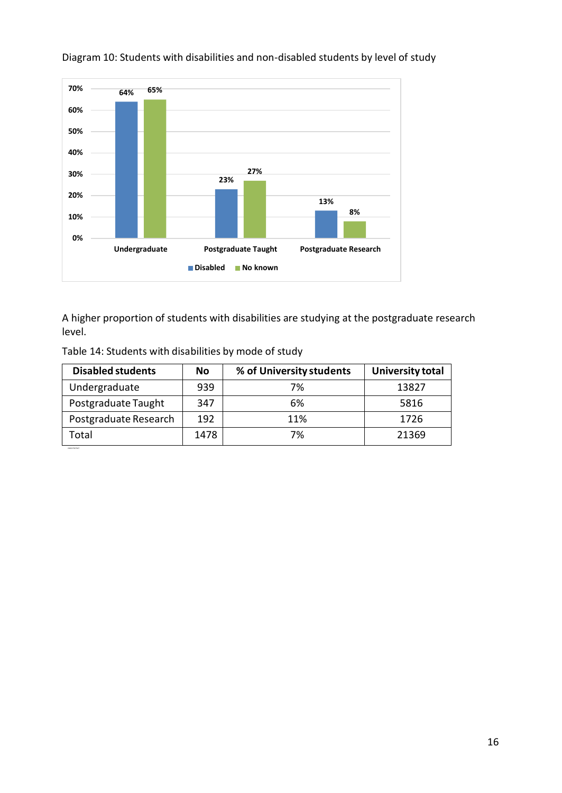

### Diagram 10: Students with disabilities and non-disabled students by level of study

A higher proportion of students with disabilities are studying at the postgraduate research level.

| <b>Disabled students</b> | No   | % of University students | <b>University total</b> |
|--------------------------|------|--------------------------|-------------------------|
| Undergraduate            | 939  | 7%                       | 13827                   |
| Postgraduate Taught      | 347  | 6%                       | 5816                    |
| Postgraduate Research    | 192  | 11%                      | 1726                    |
| Total                    | 1478 | 7%                       | 21369                   |

Table 14: Students with disabilities by mode of study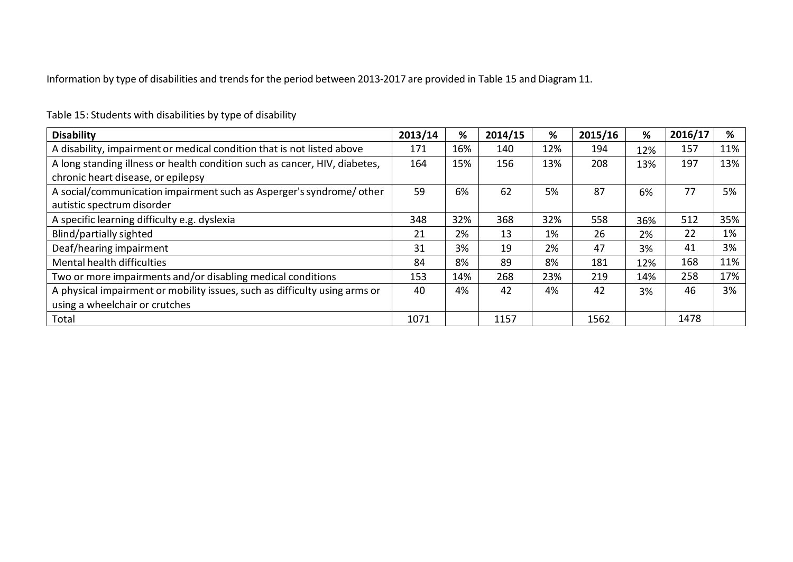Information by type of disabilities and trends for the period between 2013-2017 are provided in Table 15 and Diagram 11.

| <b>Disability</b>                                                          | 2013/14 | %   | 2014/15 | %   | 2015/16 | %   | 2016/17 | %   |
|----------------------------------------------------------------------------|---------|-----|---------|-----|---------|-----|---------|-----|
| A disability, impairment or medical condition that is not listed above     | 171     | 16% | 140     | 12% | 194     | 12% | 157     | 11% |
| A long standing illness or health condition such as cancer, HIV, diabetes, | 164     | 15% | 156     | 13% | 208     | 13% | 197     | 13% |
| chronic heart disease, or epilepsy                                         |         |     |         |     |         |     |         |     |
| A social/communication impairment such as Asperger's syndrome/other        | 59      | 6%  | 62      | 5%  | 87      | 6%  | 77      | 5%  |
| autistic spectrum disorder                                                 |         |     |         |     |         |     |         |     |
| A specific learning difficulty e.g. dyslexia                               | 348     | 32% | 368     | 32% | 558     | 36% | 512     | 35% |
| Blind/partially sighted                                                    | 21      | 2%  | 13      | 1%  | 26      | 2%  | 22      | 1%  |
| Deaf/hearing impairment                                                    | 31      | 3%  | 19      | 2%  | 47      | 3%  | 41      | 3%  |
| Mental health difficulties                                                 | 84      | 8%  | 89      | 8%  | 181     | 12% | 168     | 11% |
| Two or more impairments and/or disabling medical conditions                | 153     | 14% | 268     | 23% | 219     | 14% | 258     | 17% |
| A physical impairment or mobility issues, such as difficulty using arms or | 40      | 4%  | 42      | 4%  | 42      | 3%  | 46      | 3%  |
| using a wheelchair or crutches                                             |         |     |         |     |         |     |         |     |
| Total                                                                      | 1071    |     | 1157    |     | 1562    |     | 1478    |     |

Table 15: Students with disabilities by type of disability